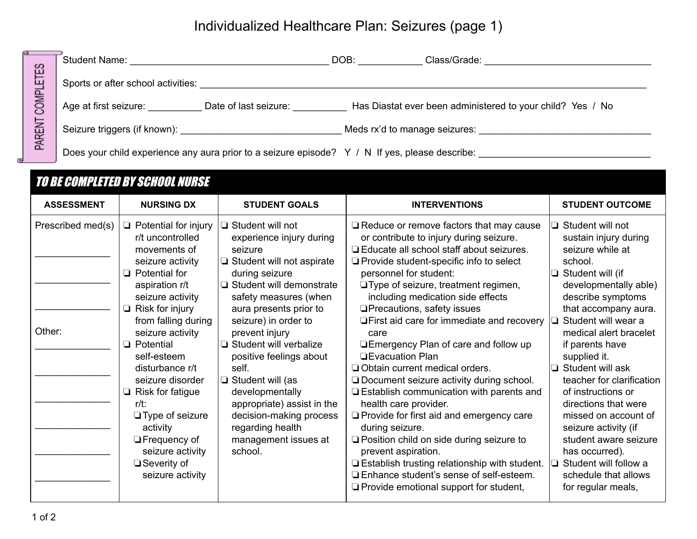## Individualized Healthcare Plan: Seizures (page 1)

| 없<br>—<br>ய<br><b>COMPL</b><br>PARENT | <b>Student Name:</b>                                                                           | DOB:                          | Class/Grade:                                               |
|---------------------------------------|------------------------------------------------------------------------------------------------|-------------------------------|------------------------------------------------------------|
|                                       | Sports or after school activities:                                                             |                               |                                                            |
|                                       | Age at first seizure:<br>Date of last seizure:                                                 |                               | Has Diastat ever been administered to your child? Yes / No |
|                                       | Seizure triggers (if known):                                                                   | Meds rx'd to manage seizures: |                                                            |
|                                       | Does your child experience any aura prior to a seizure episode? Y / N If yes, please describe: |                               |                                                            |

|                             | <b>TO BE COMPLETED BY SCHOOL NURSE</b>                                                                                                                                                                                                                                                                                                                                                                                                                          |                                                                                                                                                                                                                                                                                                                                                                                                                                                                                    |                                                                                                                                                                                                                                                                                                                                                                                                                                                                                                                                                                                                                                                                                                                                                                                                                                                                                                                                               |                                                                                                                                                                                                                                                                                                                                                                                                                                                                                                                              |
|-----------------------------|-----------------------------------------------------------------------------------------------------------------------------------------------------------------------------------------------------------------------------------------------------------------------------------------------------------------------------------------------------------------------------------------------------------------------------------------------------------------|------------------------------------------------------------------------------------------------------------------------------------------------------------------------------------------------------------------------------------------------------------------------------------------------------------------------------------------------------------------------------------------------------------------------------------------------------------------------------------|-----------------------------------------------------------------------------------------------------------------------------------------------------------------------------------------------------------------------------------------------------------------------------------------------------------------------------------------------------------------------------------------------------------------------------------------------------------------------------------------------------------------------------------------------------------------------------------------------------------------------------------------------------------------------------------------------------------------------------------------------------------------------------------------------------------------------------------------------------------------------------------------------------------------------------------------------|------------------------------------------------------------------------------------------------------------------------------------------------------------------------------------------------------------------------------------------------------------------------------------------------------------------------------------------------------------------------------------------------------------------------------------------------------------------------------------------------------------------------------|
| <b>ASSESSMENT</b>           | <b>NURSING DX</b>                                                                                                                                                                                                                                                                                                                                                                                                                                               | <b>STUDENT GOALS</b>                                                                                                                                                                                                                                                                                                                                                                                                                                                               | <b>INTERVENTIONS</b>                                                                                                                                                                                                                                                                                                                                                                                                                                                                                                                                                                                                                                                                                                                                                                                                                                                                                                                          | <b>STUDENT OUTCOME</b>                                                                                                                                                                                                                                                                                                                                                                                                                                                                                                       |
| Prescribed med(s)<br>Other: | $\Box$ Potential for injury<br>r/t uncontrolled<br>movements of<br>seizure activity<br>$\Box$ Potential for<br>aspiration r/t<br>seizure activity<br>Risk for injury<br>❏<br>from falling during<br>seizure activity<br>$\Box$ Potential<br>self-esteem<br>disturbance r/t<br>seizure disorder<br>$\Box$ Risk for fatigue<br>$r/t$ :<br>$\Box$ Type of seizure<br>activity<br>$\Box$ Frequency of<br>seizure activity<br>$\Box$ Severity of<br>seizure activity | $\Box$ Student will not<br>experience injury during<br>seizure<br>$\Box$ Student will not aspirate<br>during seizure<br>□ Student will demonstrate<br>safety measures (when<br>aura presents prior to<br>seizure) in order to<br>prevent injury<br>$\Box$ Student will verbalize<br>positive feelings about<br>self.<br>$\Box$ Student will (as<br>developmentally<br>appropriate) assist in the<br>decision-making process<br>regarding health<br>management issues at<br>school. | $\Box$ Reduce or remove factors that may cause<br>or contribute to injury during seizure.<br>□ Educate all school staff about seizures.<br>$\Box$ Provide student-specific info to select<br>personnel for student:<br>□ Type of seizure, treatment regimen,<br>including medication side effects<br>$\Box$ Precautions, safety issues<br>$\Box$ First aid care for immediate and recovery<br>care<br>□Emergency Plan of care and follow up<br><b>DEvacuation Plan</b><br>Obtain current medical orders.<br>$\Box$ Document seizure activity during school.<br><b>Establish communication with parents and</b><br>health care provider.<br>$\Box$ Provide for first aid and emergency care<br>during seizure.<br>$\Box$ Position child on side during seizure to<br>prevent aspiration.<br>$\Box$ Establish trusting relationship with student.<br>□ Enhance student's sense of self-esteem.<br>$\Box$ Provide emotional support for student, | Student will not<br>⊐<br>sustain injury during<br>seizure while at<br>school.<br>Student will (if<br>developmentally able)<br>describe symptoms<br>that accompany aura.<br>Student will wear a<br>medical alert bracelet<br>if parents have<br>supplied it.<br>Student will ask<br>teacher for clarification<br>of instructions or<br>directions that were<br>missed on account of<br>seizure activity (if<br>student aware seizure<br>has occurred).<br>Student will follow a<br>schedule that allows<br>for regular meals, |
|                             |                                                                                                                                                                                                                                                                                                                                                                                                                                                                 |                                                                                                                                                                                                                                                                                                                                                                                                                                                                                    |                                                                                                                                                                                                                                                                                                                                                                                                                                                                                                                                                                                                                                                                                                                                                                                                                                                                                                                                               |                                                                                                                                                                                                                                                                                                                                                                                                                                                                                                                              |

Œ